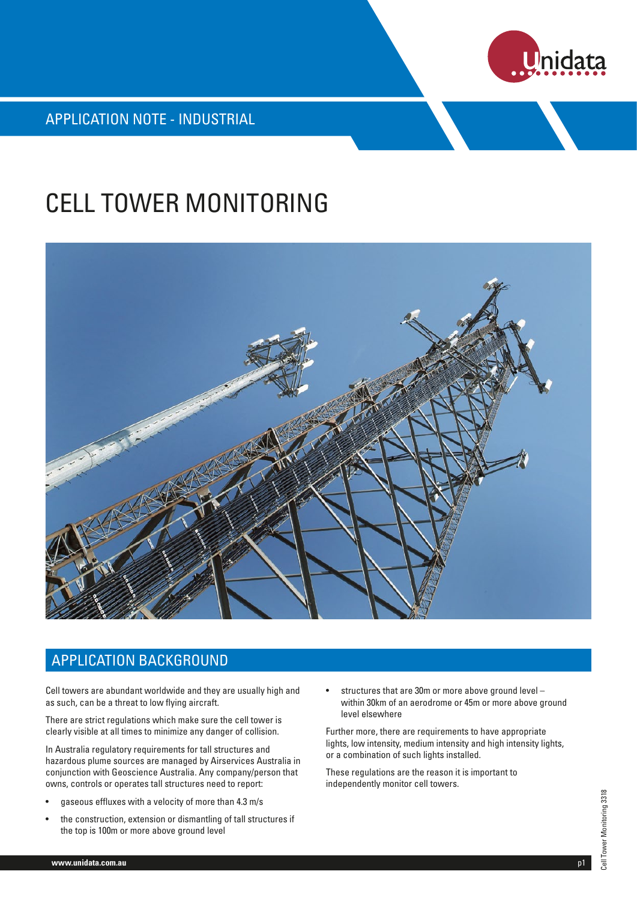

APPLICATION NOTE - INDUSTRIAL

# CELL TOWER MONITORING



## APPLICATION BACKGROUND

Cell towers are abundant worldwide and they are usually high and as such, can be a threat to low flying aircraft.

There are strict regulations which make sure the cell tower is clearly visible at all times to minimize any danger of collision.

In Australia regulatory requirements for tall structures and hazardous plume sources are managed by Airservices Australia in conjunction with Geoscience Australia. Any company/person that owns, controls or operates tall structures need to report:

- gaseous effluxes with a velocity of more than 4.3 m/s
- the construction, extension or dismantling of tall structures if the top is 100m or more above ground level

• structures that are 30m or more above ground level – within 30km of an aerodrome or 45m or more above ground level elsewhere

Further more, there are requirements to have appropriate lights, low intensity, medium intensity and high intensity lights, or a combination of such lights installed.

These regulations are the reason it is important to independently monitor cell towers.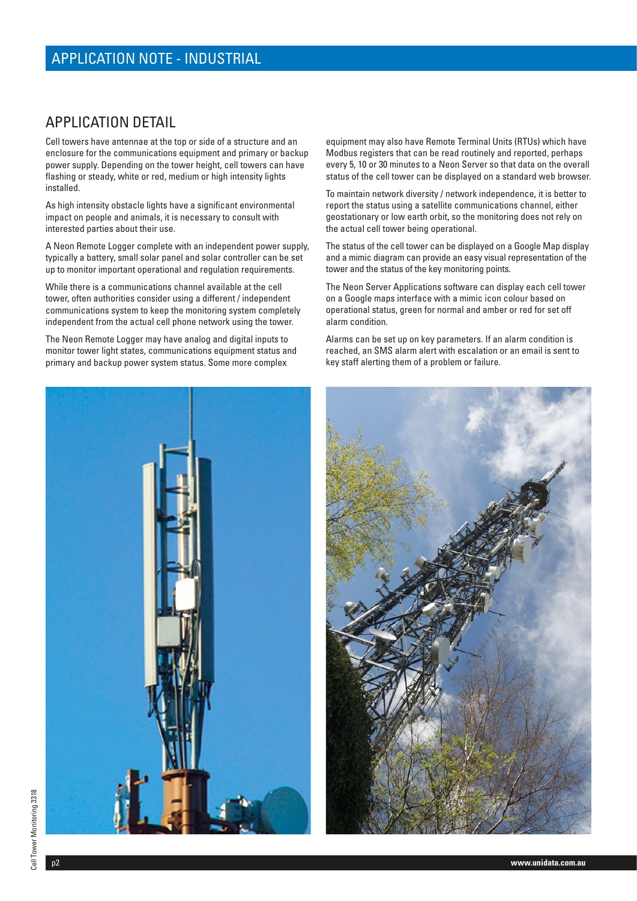# APPLICATION DETAIL

Cell towers have antennae at the top or side of a structure and an enclosure for the communications equipment and primary or backup power supply. Depending on the tower height, cell towers can have flashing or steady, white or red, medium or high intensity lights installed.

As high intensity obstacle lights have a significant environmental impact on people and animals, it is necessary to consult with interested parties about their use.

A Neon Remote Logger complete with an independent power supply, typically a battery, small solar panel and solar controller can be set up to monitor important operational and regulation requirements.

While there is a communications channel available at the cell tower, often authorities consider using a different / independent communications system to keep the monitoring system completely independent from the actual cell phone network using the tower.

The Neon Remote Logger may have analog and digital inputs to monitor tower light states, communications equipment status and primary and backup power system status. Some more complex



equipment may also have Remote Terminal Units (RTUs) which have Modbus registers that can be read routinely and reported, perhaps every 5, 10 or 30 minutes to a Neon Server so that data on the overall status of the cell tower can be displayed on a standard web browser.

To maintain network diversity / network independence, it is better to report the status using a satellite communications channel, either geostationary or low earth orbit, so the monitoring does not rely on the actual cell tower being operational.

The status of the cell tower can be displayed on a Google Map display and a mimic diagram can provide an easy visual representation of the tower and the status of the key monitoring points.

The Neon Server Applications software can display each cell tower on a Google maps interface with a mimic icon colour based on operational status, green for normal and amber or red for set off alarm condition.

Alarms can be set up on key parameters. If an alarm condition is reached, an SMS alarm alert with escalation or an email is sent to key staff alerting them of a problem or failure.

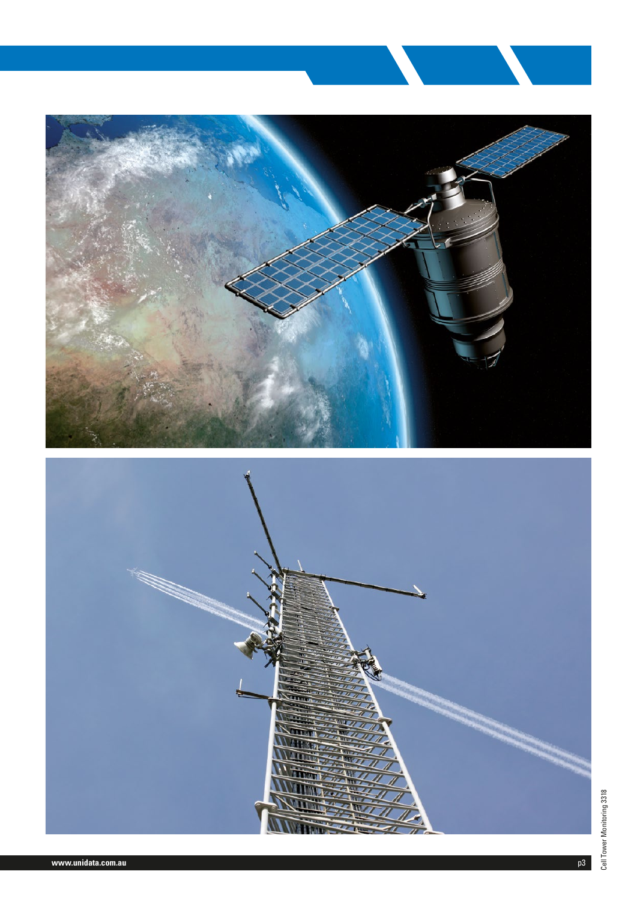